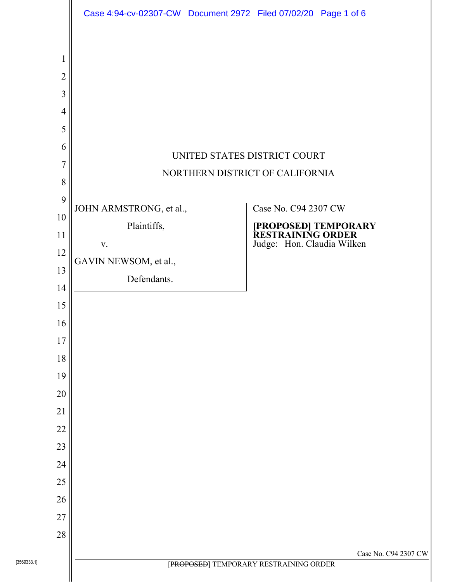|                                                                                        | Case 4:94-cv-02307-CW Document 2972 Filed 07/02/20 Page 1 of 6 |                                                                 |                                                                         |  |  |  |
|----------------------------------------------------------------------------------------|----------------------------------------------------------------|-----------------------------------------------------------------|-------------------------------------------------------------------------|--|--|--|
| 1<br>$\overline{2}$<br>3<br>$\overline{4}$<br>5<br>6<br>7<br>8                         |                                                                | UNITED STATES DISTRICT COURT<br>NORTHERN DISTRICT OF CALIFORNIA |                                                                         |  |  |  |
| 9                                                                                      | JOHN ARMSTRONG, et al.,                                        |                                                                 | Case No. C94 2307 CW                                                    |  |  |  |
| 10<br>11<br>12<br>13<br>14<br>15<br>16<br>17<br>18<br>19<br>20<br>21<br>22<br>23<br>24 | Plaintiffs,<br>V.<br>GAVIN NEWSOM, et al.,<br>Defendants.      |                                                                 | [PROPOSED] TEMPORARY<br>RESTRAINING ORDER<br>Judge: Hon. Claudia Wilken |  |  |  |
| 25<br>26                                                                               |                                                                |                                                                 |                                                                         |  |  |  |
| 27                                                                                     |                                                                |                                                                 |                                                                         |  |  |  |
| 28                                                                                     |                                                                |                                                                 |                                                                         |  |  |  |
|                                                                                        | Case No. C94 2307 CW<br>[PROPOSED] TEMPORARY RESTRAINING ORDER |                                                                 |                                                                         |  |  |  |
|                                                                                        |                                                                |                                                                 |                                                                         |  |  |  |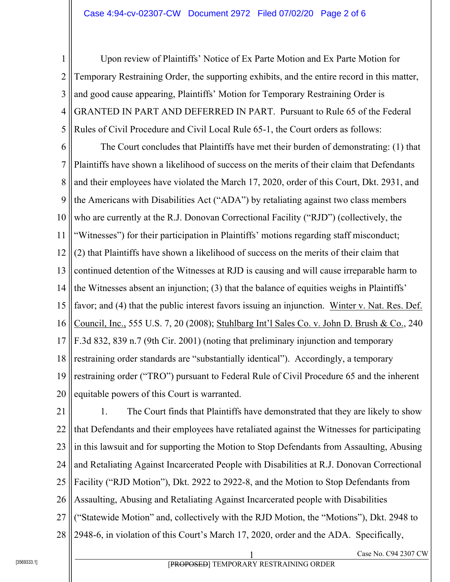1 2 3 4 5 Upon review of Plaintiffs' Notice of Ex Parte Motion and Ex Parte Motion for Temporary Restraining Order, the supporting exhibits, and the entire record in this matter, and good cause appearing, Plaintiffs' Motion for Temporary Restraining Order is GRANTED IN PART AND DEFERRED IN PART. Pursuant to Rule 65 of the Federal Rules of Civil Procedure and Civil Local Rule 65-1, the Court orders as follows:

6 7 8 9 10 11 12 13 14 15 16 17 18 19 20 The Court concludes that Plaintiffs have met their burden of demonstrating: (1) that Plaintiffs have shown a likelihood of success on the merits of their claim that Defendants and their employees have violated the March 17, 2020, order of this Court, Dkt. 2931, and the Americans with Disabilities Act ("ADA") by retaliating against two class members who are currently at the R.J. Donovan Correctional Facility ("RJD") (collectively, the "Witnesses") for their participation in Plaintiffs' motions regarding staff misconduct; (2) that Plaintiffs have shown a likelihood of success on the merits of their claim that continued detention of the Witnesses at RJD is causing and will cause irreparable harm to the Witnesses absent an injunction; (3) that the balance of equities weighs in Plaintiffs' favor; and (4) that the public interest favors issuing an injunction. Winter v. Nat. Res. Def. Council, Inc., 555 U.S. 7, 20 (2008); Stuhlbarg Int'l Sales Co. v. John D. Brush & Co., 240 F.3d 832, 839 n.7 (9th Cir. 2001) (noting that preliminary injunction and temporary restraining order standards are "substantially identical"). Accordingly, a temporary restraining order ("TRO") pursuant to Federal Rule of Civil Procedure 65 and the inherent equitable powers of this Court is warranted.

21 22 23 24 25 26 27 28 1. The Court finds that Plaintiffs have demonstrated that they are likely to show that Defendants and their employees have retaliated against the Witnesses for participating in this lawsuit and for supporting the Motion to Stop Defendants from Assaulting, Abusing and Retaliating Against Incarcerated People with Disabilities at R.J. Donovan Correctional Facility ("RJD Motion"), Dkt. 2922 to 2922-8, and the Motion to Stop Defendants from Assaulting, Abusing and Retaliating Against Incarcerated people with Disabilities ("Statewide Motion" and, collectively with the RJD Motion, the "Motions"), Dkt. 2948 to 2948-6, in violation of this Court's March 17, 2020, order and the ADA. Specifically,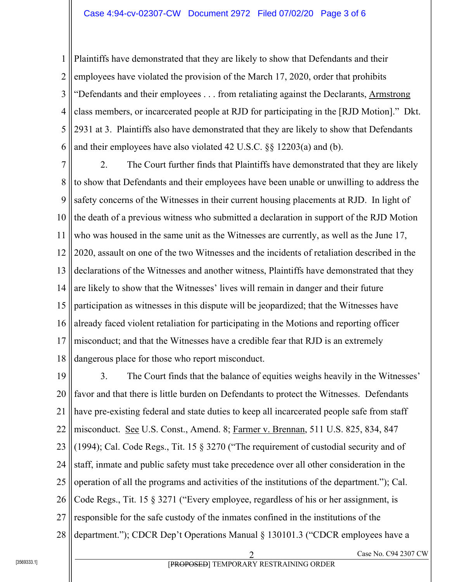1 2 3 4 5 6 Plaintiffs have demonstrated that they are likely to show that Defendants and their employees have violated the provision of the March 17, 2020, order that prohibits "Defendants and their employees . . . from retaliating against the Declarants, Armstrong class members, or incarcerated people at RJD for participating in the [RJD Motion]." Dkt. 2931 at 3. Plaintiffs also have demonstrated that they are likely to show that Defendants and their employees have also violated 42 U.S.C. §§ 12203(a) and (b).

7 8 9 10 11 12 13 14 15 16 17 18 2. The Court further finds that Plaintiffs have demonstrated that they are likely to show that Defendants and their employees have been unable or unwilling to address the safety concerns of the Witnesses in their current housing placements at RJD. In light of the death of a previous witness who submitted a declaration in support of the RJD Motion who was housed in the same unit as the Witnesses are currently, as well as the June 17, 2020, assault on one of the two Witnesses and the incidents of retaliation described in the declarations of the Witnesses and another witness, Plaintiffs have demonstrated that they are likely to show that the Witnesses' lives will remain in danger and their future participation as witnesses in this dispute will be jeopardized; that the Witnesses have already faced violent retaliation for participating in the Motions and reporting officer misconduct; and that the Witnesses have a credible fear that RJD is an extremely dangerous place for those who report misconduct.

19 20 21 22 23 24 25 26 27 28 3. The Court finds that the balance of equities weighs heavily in the Witnesses' favor and that there is little burden on Defendants to protect the Witnesses. Defendants have pre-existing federal and state duties to keep all incarcerated people safe from staff misconduct. See U.S. Const., Amend. 8; Farmer v. Brennan, 511 U.S. 825, 834, 847 (1994); Cal. Code Regs., Tit. 15 § 3270 ("The requirement of custodial security and of staff, inmate and public safety must take precedence over all other consideration in the operation of all the programs and activities of the institutions of the department."); Cal. Code Regs., Tit. 15 § 3271 ("Every employee, regardless of his or her assignment, is responsible for the safe custody of the inmates confined in the institutions of the department."); CDCR Dep't Operations Manual § 130101.3 ("CDCR employees have a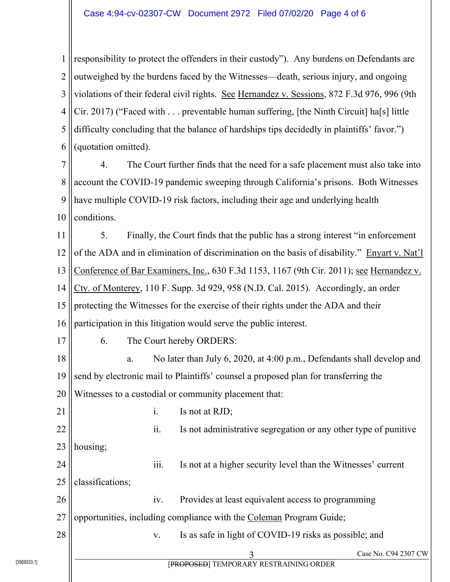1 2 3 4 5 6 responsibility to protect the offenders in their custody"). Any burdens on Defendants are outweighed by the burdens faced by the Witnesses—death, serious injury, and ongoing violations of their federal civil rights. See Hernandez v. Sessions, 872 F.3d 976, 996 (9th Cir. 2017) ("Faced with . . . preventable human suffering, [the Ninth Circuit] ha[s] little difficulty concluding that the balance of hardships tips decidedly in plaintiffs' favor.") (quotation omitted).

7 8 9 10 4. The Court further finds that the need for a safe placement must also take into account the COVID-19 pandemic sweeping through California's prisons. Both Witnesses have multiple COVID-19 risk factors, including their age and underlying health conditions.

11 12 13 14 15 16 5. Finally, the Court finds that the public has a strong interest "in enforcement of the ADA and in elimination of discrimination on the basis of disability." Enyart v. Nat'l Conference of Bar Examiners, Inc., 630 F.3d 1153, 1167 (9th Cir. 2011); see Hernandez v. Cty. of Monterey, 110 F. Supp. 3d 929, 958 (N.D. Cal. 2015). Accordingly, an order protecting the Witnesses for the exercise of their rights under the ADA and their participation in this litigation would serve the public interest.

6. The Court hereby ORDERS:

18 19 20 a. No later than July 6, 2020, at 4:00 p.m., Defendants shall develop and send by electronic mail to Plaintiffs' counsel a proposed plan for transferring the Witnesses to a custodial or community placement that:

21 22 23 24 25 26 27 28 i. Is not at RJD; ii. Is not administrative segregation or any other type of punitive housing; iii. Is not at a higher security level than the Witnesses' current classifications; iv. Provides at least equivalent access to programming opportunities, including compliance with the Coleman Program Guide;

v. Is as safe in light of COVID-19 risks as possible; and

17

[PROPOSED] TEMPORARY RESTRAINING ORDER

Case No. C94 2307 CW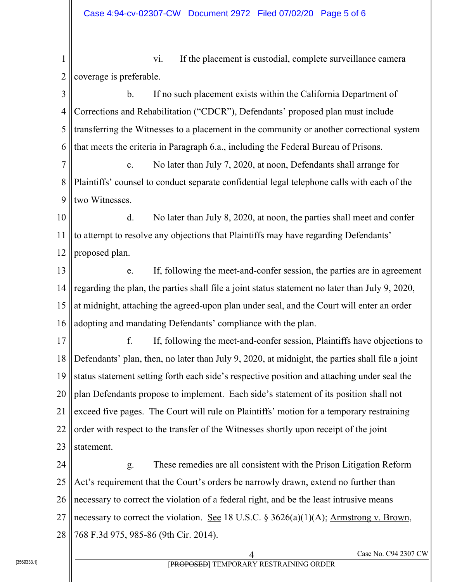1 2 3 4 5 6 7 8 9 10 11 12 13 14 15 16 17 18 19 20 21 22 23 24 25 26 27 28 Case No. C94 2307 CW vi. If the placement is custodial, complete surveillance camera coverage is preferable. b. If no such placement exists within the California Department of Corrections and Rehabilitation ("CDCR"), Defendants' proposed plan must include transferring the Witnesses to a placement in the community or another correctional system that meets the criteria in Paragraph 6.a., including the Federal Bureau of Prisons. c. No later than July 7, 2020, at noon, Defendants shall arrange for Plaintiffs' counsel to conduct separate confidential legal telephone calls with each of the two Witnesses. d. No later than July 8, 2020, at noon, the parties shall meet and confer to attempt to resolve any objections that Plaintiffs may have regarding Defendants' proposed plan. e. If, following the meet-and-confer session, the parties are in agreement regarding the plan, the parties shall file a joint status statement no later than July 9, 2020, at midnight, attaching the agreed-upon plan under seal, and the Court will enter an order adopting and mandating Defendants' compliance with the plan. f. If, following the meet-and-confer session, Plaintiffs have objections to Defendants' plan, then, no later than July 9, 2020, at midnight, the parties shall file a joint status statement setting forth each side's respective position and attaching under seal the plan Defendants propose to implement. Each side's statement of its position shall not exceed five pages. The Court will rule on Plaintiffs' motion for a temporary restraining order with respect to the transfer of the Witnesses shortly upon receipt of the joint statement. g. These remedies are all consistent with the Prison Litigation Reform Act's requirement that the Court's orders be narrowly drawn, extend no further than necessary to correct the violation of a federal right, and be the least intrusive means necessary to correct the violation. See 18 U.S.C. § 3626(a)(1)(A); Armstrong v. Brown, 768 F.3d 975, 985-86 (9th Cir. 2014).

[PROPOSED] TEMPORARY RESTRAINING ORDER